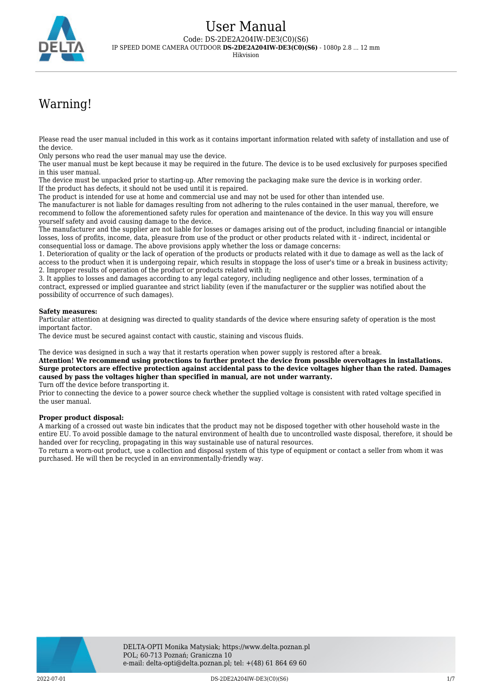

# Warning!

Please read the user manual included in this work as it contains important information related with safety of installation and use of the device.

Only persons who read the user manual may use the device.

The user manual must be kept because it may be required in the future. The device is to be used exclusively for purposes specified in this user manual.

The device must be unpacked prior to starting-up. After removing the packaging make sure the device is in working order. If the product has defects, it should not be used until it is repaired.

The product is intended for use at home and commercial use and may not be used for other than intended use.

The manufacturer is not liable for damages resulting from not adhering to the rules contained in the user manual, therefore, we recommend to follow the aforementioned safety rules for operation and maintenance of the device. In this way you will ensure yourself safety and avoid causing damage to the device.

The manufacturer and the supplier are not liable for losses or damages arising out of the product, including financial or intangible losses, loss of profits, income, data, pleasure from use of the product or other products related with it - indirect, incidental or consequential loss or damage. The above provisions apply whether the loss or damage concerns:

1. Deterioration of quality or the lack of operation of the products or products related with it due to damage as well as the lack of access to the product when it is undergoing repair, which results in stoppage the loss of user's time or a break in business activity; 2. Improper results of operation of the product or products related with it;

3. It applies to losses and damages according to any legal category, including negligence and other losses, termination of a contract, expressed or implied guarantee and strict liability (even if the manufacturer or the supplier was notified about the possibility of occurrence of such damages).

#### **Safety measures:**

Particular attention at designing was directed to quality standards of the device where ensuring safety of operation is the most important factor.

The device must be secured against contact with caustic, staining and viscous fluids.

The device was designed in such a way that it restarts operation when power supply is restored after a break.

**Attention! We recommend using protections to further protect the device from possible overvoltages in installations. Surge protectors are effective protection against accidental pass to the device voltages higher than the rated. Damages caused by pass the voltages higher than specified in manual, are not under warranty.**

Turn off the device before transporting it.

Prior to connecting the device to a power source check whether the supplied voltage is consistent with rated voltage specified in the user manual.

#### **Proper product disposal:**

A marking of a crossed out waste bin indicates that the product may not be disposed together with other household waste in the entire EU. To avoid possible damage to the natural environment of health due to uncontrolled waste disposal, therefore, it should be handed over for recycling, propagating in this way sustainable use of natural resources.

To return a worn-out product, use a collection and disposal system of this type of equipment or contact a seller from whom it was purchased. He will then be recycled in an environmentally-friendly way.

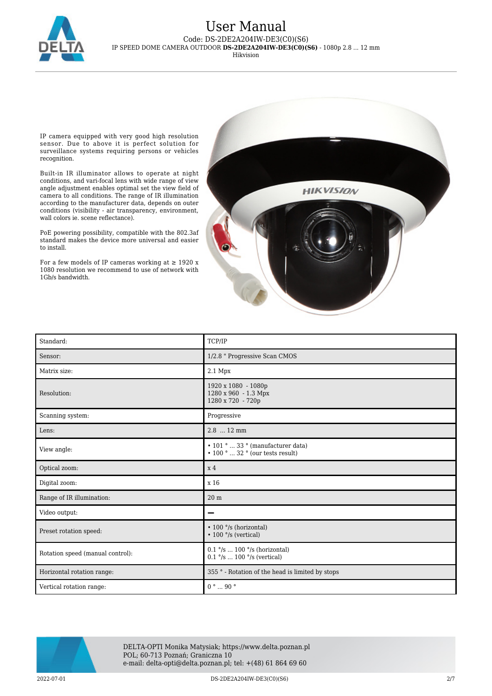

IP camera equipped with very good high resolution sensor. Due to above it is perfect solution for surveillance systems requiring persons or vehicles recognition.

Built-in IR illuminator allows to operate at night conditions, and vari-focal lens with wide range of view angle adjustment enables optimal set the view field of camera to all conditions. The range of IR illumination according to the manufacturer data, depends on outer conditions (visibility - air transparency, environment, wall colors ie. scene reflectance).

PoE powering possibility, compatible with the 802.3af standard makes the device more universal and easier to install.

For a few models of IP cameras working at  $\geq$  1920 x 1080 resolution we recommend to use of network with 1Gb/s bandwidth.



| Standard:                        | TCP/IP                                                                                                        |
|----------------------------------|---------------------------------------------------------------------------------------------------------------|
| Sensor:                          | 1/2.8 " Progressive Scan CMOS                                                                                 |
| Matrix size:                     | $2.1$ Mpx                                                                                                     |
| Resolution:                      | 1920 x 1080 - 1080p<br>1280 x 960 - 1.3 Mpx<br>1280 x 720 - 720p                                              |
| Scanning system:                 | Progressive                                                                                                   |
| Lens:                            | $2.8$ 12 mm                                                                                                   |
| View angle:                      | $\cdot$ 101 °  33 ° (manufacturer data)<br>$\bullet$ 100 $^{\circ}$ $\ldots$ 32 $^{\circ}$ (our tests result) |
| Optical zoom:                    | x <sub>4</sub>                                                                                                |
| Digital zoom:                    | x 16                                                                                                          |
| Range of IR illumination:        | 20 <sub>m</sub>                                                                                               |
| Video output:                    |                                                                                                               |
| Preset rotation speed:           | • 100 °/s (horizontal)<br>$\cdot$ 100 $\degree$ /s (vertical)                                                 |
| Rotation speed (manual control): | $0.1$ °/s  100 °/s (horizontal)<br>$0.1$ °/s  100 °/s (vertical)                                              |
| Horizontal rotation range:       | 355 ° - Rotation of the head is limited by stops                                                              |
| Vertical rotation range:         | $0° \dots 90°$                                                                                                |



DELTA-OPTI Monika Matysiak; https://www.delta.poznan.pl POL; 60-713 Poznań; Graniczna 10 e-mail: delta-opti@delta.poznan.pl; tel: +(48) 61 864 69 60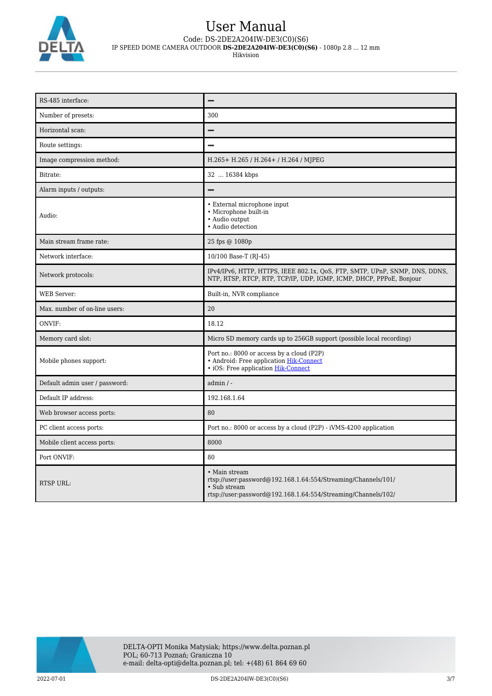

| RS-485 interface:              |                                                                                                                                                                 |
|--------------------------------|-----------------------------------------------------------------------------------------------------------------------------------------------------------------|
| Number of presets:             | 300                                                                                                                                                             |
| Horizontal scan:               |                                                                                                                                                                 |
| Route settings:                |                                                                                                                                                                 |
| Image compression method:      | H.265+ H.265 / H.264+ / H.264 / MJPEG                                                                                                                           |
| Bitrate:                       | 32  16384 kbps                                                                                                                                                  |
| Alarm inputs / outputs:        |                                                                                                                                                                 |
| Audio:                         | • External microphone input<br>· Microphone built-in<br>• Audio output<br>• Audio detection                                                                     |
| Main stream frame rate:        | 25 fps @ 1080p                                                                                                                                                  |
| Network interface:             | 10/100 Base-T (RJ-45)                                                                                                                                           |
| Network protocols:             | IPv4/IPv6, HTTP, HTTPS, IEEE 802.1x, QoS, FTP, SMTP, UPnP, SNMP, DNS, DDNS,<br>NTP, RTSP, RTCP, RTP, TCP/IP, UDP, IGMP, ICMP, DHCP, PPPoE, Bonjour              |
| <b>WEB Server:</b>             | Built-in, NVR compliance                                                                                                                                        |
| Max. number of on-line users:  | 20                                                                                                                                                              |
| ONVIF:                         | 18.12                                                                                                                                                           |
| Memory card slot:              | Micro SD memory cards up to 256GB support (possible local recording)                                                                                            |
| Mobile phones support:         | Port no.: 8000 or access by a cloud (P2P)<br>• Android: Free application Hik-Connect<br>• iOS: Free application Hik-Connect                                     |
| Default admin user / password: | $admin / -$                                                                                                                                                     |
| Default IP address:            | 192.168.1.64                                                                                                                                                    |
| Web browser access ports:      | 80                                                                                                                                                              |
| PC client access ports:        | Port no.: 8000 or access by a cloud (P2P) - iVMS-4200 application                                                                                               |
| Mobile client access ports:    | 8000                                                                                                                                                            |
| Port ONVIF:                    | 80                                                                                                                                                              |
| <b>RTSP URL:</b>               | • Main stream<br>rtsp://user.password@192.168.1.64:554/Streaming/Channels/101/<br>• Sub stream<br>rtsp://user:password@192.168.1.64:554/Streaming/Channels/102/ |

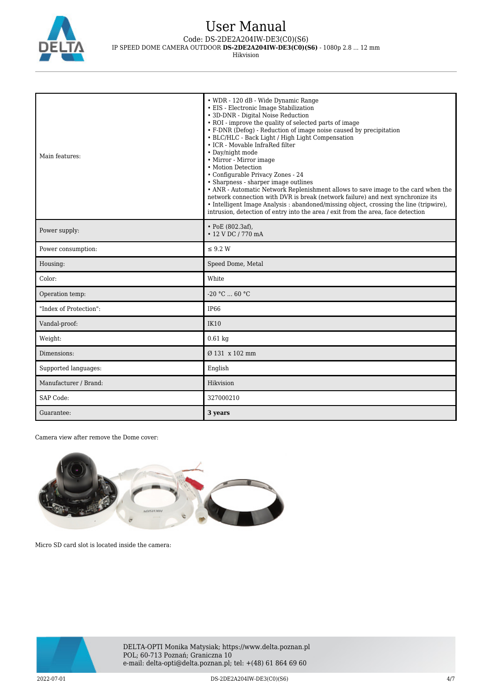

# User Manual

Code: DS-2DE2A204IW-DE3(C0)(S6)

IP SPEED DOME CAMERA OUTDOOR **DS-2DE2A204IW-DE3(C0)(S6)** - 1080p 2.8 ... 12 mm

Hikvision

| Main features:         | • WDR - 120 dB - Wide Dynamic Range<br>• EIS - Electronic Image Stabilization<br>• 3D-DNR - Digital Noise Reduction<br>• ROI - improve the quality of selected parts of image<br>• F-DNR (Defog) - Reduction of image noise caused by precipitation<br>• BLC/HLC - Back Light / High Light Compensation<br>• ICR - Movable InfraRed filter<br>• Day/night mode<br>• Mirror - Mirror image<br>• Motion Detection<br>• Configurable Privacy Zones - 24<br>• Sharpness - sharper image outlines<br>• ANR - Automatic Network Replenishment allows to save image to the card when the<br>network connection with DVR is break (network failure) and next synchronize its<br>• Intelligent Image Analysis: abandoned/missing object, crossing the line (tripwire),<br>intrusion, detection of entry into the area / exit from the area, face detection |
|------------------------|---------------------------------------------------------------------------------------------------------------------------------------------------------------------------------------------------------------------------------------------------------------------------------------------------------------------------------------------------------------------------------------------------------------------------------------------------------------------------------------------------------------------------------------------------------------------------------------------------------------------------------------------------------------------------------------------------------------------------------------------------------------------------------------------------------------------------------------------------|
| Power supply:          | $\cdot$ PoE (802.3af).<br>• 12 V DC / 770 mA                                                                                                                                                                                                                                                                                                                                                                                                                                                                                                                                                                                                                                                                                                                                                                                                      |
| Power consumption:     | $\leq$ 9.2 W                                                                                                                                                                                                                                                                                                                                                                                                                                                                                                                                                                                                                                                                                                                                                                                                                                      |
| Housing:               | Speed Dome, Metal                                                                                                                                                                                                                                                                                                                                                                                                                                                                                                                                                                                                                                                                                                                                                                                                                                 |
| Color:                 | White                                                                                                                                                                                                                                                                                                                                                                                                                                                                                                                                                                                                                                                                                                                                                                                                                                             |
| Operation temp:        | $-20 °C  60 °C$                                                                                                                                                                                                                                                                                                                                                                                                                                                                                                                                                                                                                                                                                                                                                                                                                                   |
| "Index of Protection": | IP <sub>66</sub>                                                                                                                                                                                                                                                                                                                                                                                                                                                                                                                                                                                                                                                                                                                                                                                                                                  |
| Vandal-proof:          | <b>IK10</b>                                                                                                                                                                                                                                                                                                                                                                                                                                                                                                                                                                                                                                                                                                                                                                                                                                       |
| Weight:                | $0.61$ kg                                                                                                                                                                                                                                                                                                                                                                                                                                                                                                                                                                                                                                                                                                                                                                                                                                         |
| Dimensions:            | $Q$ 131 x 102 mm                                                                                                                                                                                                                                                                                                                                                                                                                                                                                                                                                                                                                                                                                                                                                                                                                                  |
| Supported languages:   | English                                                                                                                                                                                                                                                                                                                                                                                                                                                                                                                                                                                                                                                                                                                                                                                                                                           |
| Manufacturer / Brand:  | Hikvision                                                                                                                                                                                                                                                                                                                                                                                                                                                                                                                                                                                                                                                                                                                                                                                                                                         |
| SAP Code:              | 327000210                                                                                                                                                                                                                                                                                                                                                                                                                                                                                                                                                                                                                                                                                                                                                                                                                                         |
| Guarantee:             | 3 years                                                                                                                                                                                                                                                                                                                                                                                                                                                                                                                                                                                                                                                                                                                                                                                                                                           |

Camera view after remove the Dome cover:



Micro SD card slot is located inside the camera:

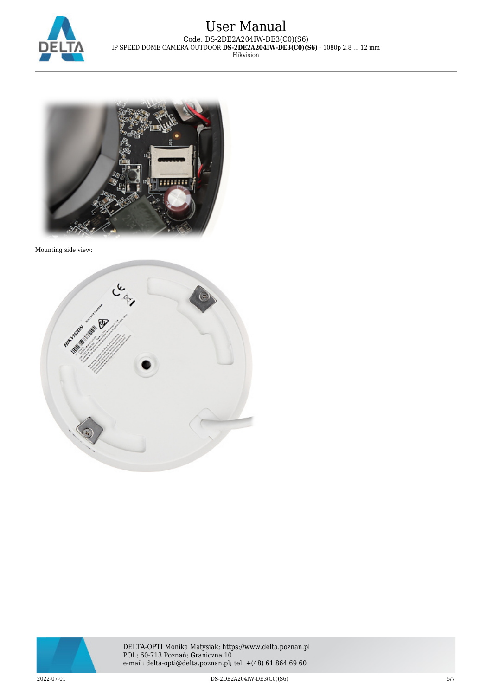



Mounting side view:



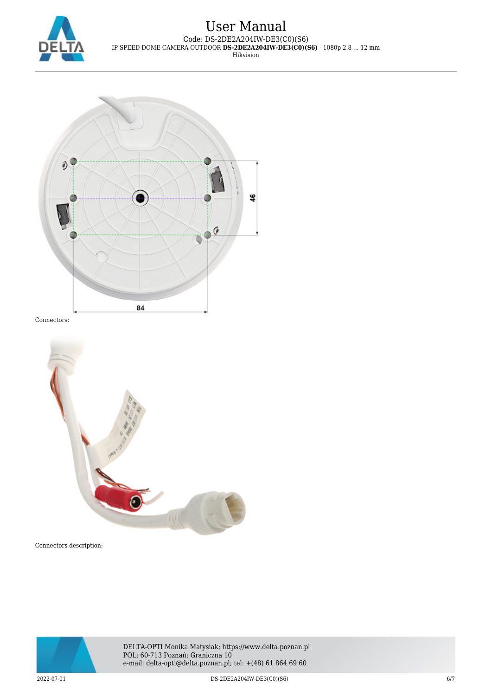



Connectors:



Connectors description:



DELTA-OPTI Monika Matysiak; https://www.delta.poznan.pl POL; 60-713 Poznań; Graniczna 10 e-mail: delta-opti@delta.poznan.pl; tel: +(48) 61 864 69 60

2022-07-01 DS-2DE2A204IW-DE3(C0)(S6) 6/7